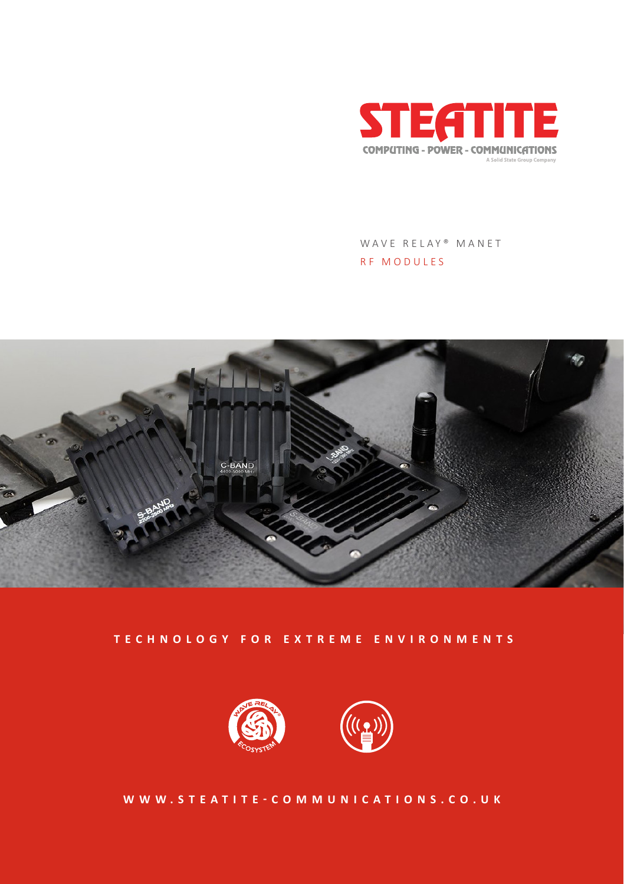



## **TECHNOLOGY FOR EXTREME ENVIRONMENTS**





WAVE RELAY® MANET RF MODULES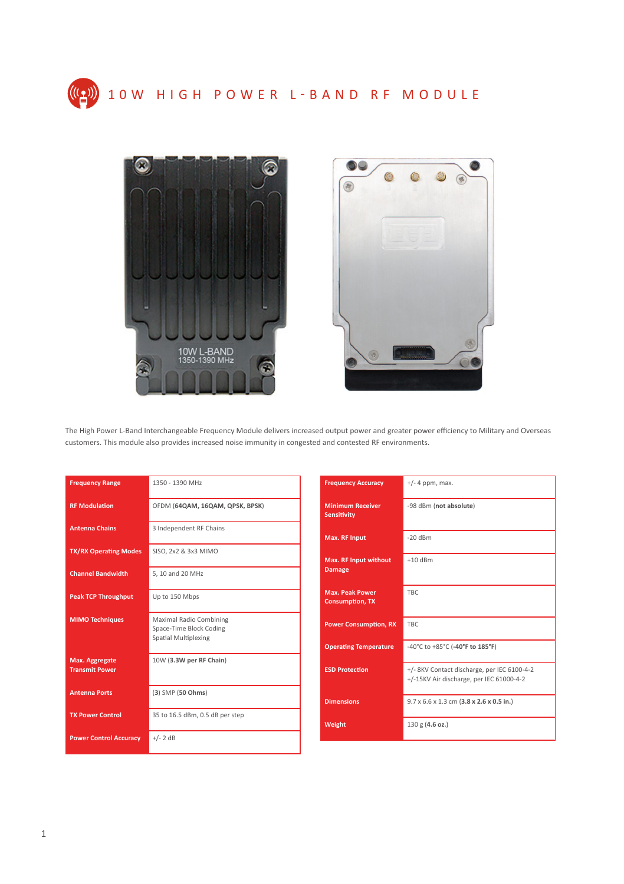





The High Power L-Band Interchangeable Frequency Module delivers increased output power and greater power efficiency to Military and Overseas customers. This module also provides increased noise immunity in congested and contested RF environments.

| <b>Frequency Range</b>                  | 1350 - 1390 MHz                                                                   |
|-----------------------------------------|-----------------------------------------------------------------------------------|
| <b>RF Modulation</b>                    | OFDM (64QAM, 16QAM, QPSK, BPSK)                                                   |
| <b>Antenna Chains</b>                   | 3 Independent RF Chains                                                           |
| <b>TX/RX Operating Modes</b>            | SISO, 2x2 & 3x3 MIMO                                                              |
| <b>Channel Bandwidth</b>                | 5, 10 and 20 MHz                                                                  |
| <b>Peak TCP Throughput</b>              | Up to 150 Mbps                                                                    |
| <b>MIMO Techniques</b>                  | Maximal Radio Combining<br>Space-Time Block Coding<br><b>Spatial Multiplexing</b> |
| Max. Aggregate<br><b>Transmit Power</b> | 10W (3.3W per RF Chain)                                                           |
| <b>Antenna Ports</b>                    | (3) SMP (50 Ohms)                                                                 |
| <b>TX Power Control</b>                 | 35 to 16.5 dBm, 0.5 dB per step                                                   |
| <b>Power Control Accuracy</b>           | $+/- 2$ dB                                                                        |

| <b>Frequency Accuracy</b>                        | $+/-$ 4 ppm, max.                                                                       |
|--------------------------------------------------|-----------------------------------------------------------------------------------------|
| <b>Minimum Receiver</b><br><b>Sensitivity</b>    | -98 dBm (not absolute)                                                                  |
| <b>Max. RF Input</b>                             | $-20$ dBm                                                                               |
| <b>Max. RF Input without</b><br><b>Damage</b>    | $+10$ dBm                                                                               |
| <b>Max. Peak Power</b><br><b>Consumption, TX</b> | TBC                                                                                     |
| <b>Power Consumption, RX</b>                     | TBC                                                                                     |
| <b>Operating Temperature</b>                     | -40°C to +85°C (-40°F to 185°F)                                                         |
| <b>ESD Protection</b>                            | +/- 8KV Contact discharge, per IEC 6100-4-2<br>+/-15KV Air discharge, per IEC 61000-4-2 |
| <b>Dimensions</b>                                | $9.7 \times 6.6 \times 1.3$ cm $(3.8 \times 2.6 \times 0.5$ in.)                        |
| Weight                                           | 130 g (4.6 oz.)                                                                         |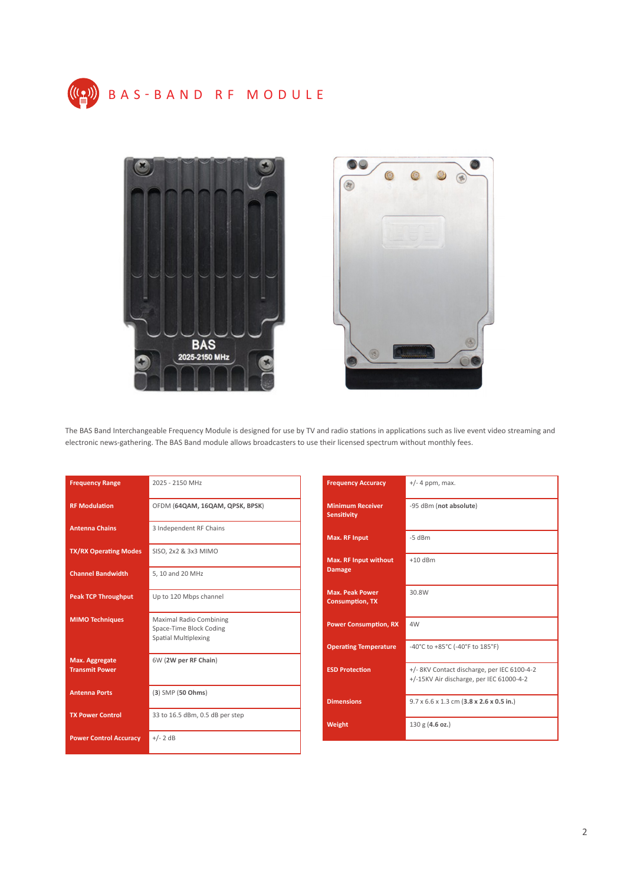





The BAS Band Interchangeable Frequency Module is designed for use by TV and radio stations in applications such as live event video streaming and electronic news-gathering. The BAS Band module allows broadcasters to use their licensed spectrum without monthly fees.

| <b>Frequency Range</b>                         | 2025 - 2150 MHz                                                                   |
|------------------------------------------------|-----------------------------------------------------------------------------------|
| <b>RF Modulation</b>                           | OFDM (64QAM, 16QAM, QPSK, BPSK)                                                   |
| <b>Antenna Chains</b>                          | 3 Independent RF Chains                                                           |
| <b>TX/RX Operating Modes</b>                   | SISO, 2x2 & 3x3 MIMO                                                              |
| <b>Channel Bandwidth</b>                       | 5, 10 and 20 MHz                                                                  |
| <b>Peak TCP Throughput</b>                     | Up to 120 Mbps channel                                                            |
| <b>MIMO Techniques</b>                         | Maximal Radio Combining<br>Space-Time Block Coding<br><b>Spatial Multiplexing</b> |
| <b>Max. Aggregate</b><br><b>Transmit Power</b> | 6W (2W per RF Chain)                                                              |
| <b>Antenna Ports</b>                           | (3) SMP (50 Ohms)                                                                 |
| <b>TX Power Control</b>                        | 33 to 16.5 dBm, 0.5 dB per step                                                   |
| <b>Power Control Accuracy</b>                  | $+/- 2$ dB                                                                        |

| <b>Frequency Accuracy</b>                        | $+/-$ 4 ppm, max.                                                                       |
|--------------------------------------------------|-----------------------------------------------------------------------------------------|
| <b>Minimum Receiver</b><br><b>Sensitivity</b>    | -95 dBm (not absolute)                                                                  |
| <b>Max. RF Input</b>                             | $-5$ dBm                                                                                |
| <b>Max. RF Input without</b><br><b>Damage</b>    | $+10$ dBm                                                                               |
| <b>Max. Peak Power</b><br><b>Consumption, TX</b> | 30.8W                                                                                   |
| <b>Power Consumption, RX</b>                     | 4W                                                                                      |
| <b>Operating Temperature</b>                     | -40°C to +85°C (-40°F to 185°F)                                                         |
| <b>ESD Protection</b>                            | +/- 8KV Contact discharge, per IEC 6100-4-2<br>+/-15KV Air discharge, per IEC 61000-4-2 |
| <b>Dimensions</b>                                | $9.7 \times 6.6 \times 1.3$ cm $(3.8 \times 2.6 \times 0.5$ in.)                        |
| Weight                                           | 130 g (4.6 oz.)                                                                         |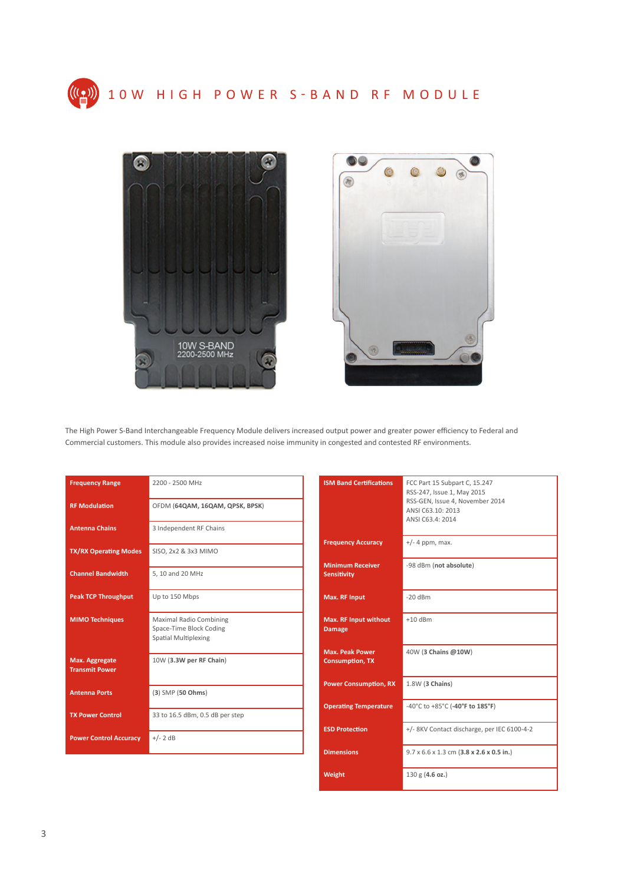





The High Power S-Band Interchangeable Frequency Module delivers increased output power and greater power efficiency to Federal and Commercial customers. This module also provides increased noise immunity in congested and contested RF environments.

| <b>Frequency Range</b>                  | 2200 - 2500 MHz                                                                   |
|-----------------------------------------|-----------------------------------------------------------------------------------|
| <b>RF Modulation</b>                    | OFDM (64QAM, 16QAM, QPSK, BPSK)                                                   |
| <b>Antenna Chains</b>                   | 3 Independent RF Chains                                                           |
| <b>TX/RX Operating Modes</b>            | SISO, 2x2 & 3x3 MIMO                                                              |
| <b>Channel Bandwidth</b>                | 5, 10 and 20 MHz                                                                  |
| <b>Peak TCP Throughput</b>              | Up to 150 Mbps                                                                    |
| <b>MIMO Techniques</b>                  | Maximal Radio Combining<br>Space-Time Block Coding<br><b>Spatial Multiplexing</b> |
| Max. Aggregate<br><b>Transmit Power</b> | 10W (3.3W per RF Chain)                                                           |
| <b>Antenna Ports</b>                    | $(3)$ SMP $(50$ Ohms)                                                             |
| <b>TX Power Control</b>                 | 33 to 16.5 dBm, 0.5 dB per step                                                   |
| <b>Power Control Accuracy</b>           | $+/- 2$ dB                                                                        |

| <b>ISM Band Certifications</b>                   | FCC Part 15 Subpart C, 15.247<br>RSS-247, Issue 1, May 2015<br>RSS-GEN, Issue 4, November 2014<br>ANSI C63.10: 2013<br>ANSI C63.4: 2014 |
|--------------------------------------------------|-----------------------------------------------------------------------------------------------------------------------------------------|
| <b>Frequency Accuracy</b>                        | $+/-$ 4 ppm, max.                                                                                                                       |
| <b>Minimum Receiver</b><br><b>Sensitivity</b>    | -98 dBm (not absolute)                                                                                                                  |
| <b>Max. RF Input</b>                             | $-20$ dBm                                                                                                                               |
| <b>Max. RF Input without</b><br><b>Damage</b>    | $+10$ dBm                                                                                                                               |
| <b>Max. Peak Power</b><br><b>Consumption, TX</b> | 40W (3 Chains @10W)                                                                                                                     |
| <b>Power Consumption, RX</b>                     | 1.8W (3 Chains)                                                                                                                         |
| <b>Operating Temperature</b>                     | -40°C to +85°C (-40°F to 185°F)                                                                                                         |
| <b>ESD Protection</b>                            | +/- 8KV Contact discharge, per IEC 6100-4-2                                                                                             |
| <b>Dimensions</b>                                | $9.7 \times 6.6 \times 1.3$ cm $(3.8 \times 2.6 \times 0.5$ in.)                                                                        |
| Weight                                           | 130 g (4.6 oz.)                                                                                                                         |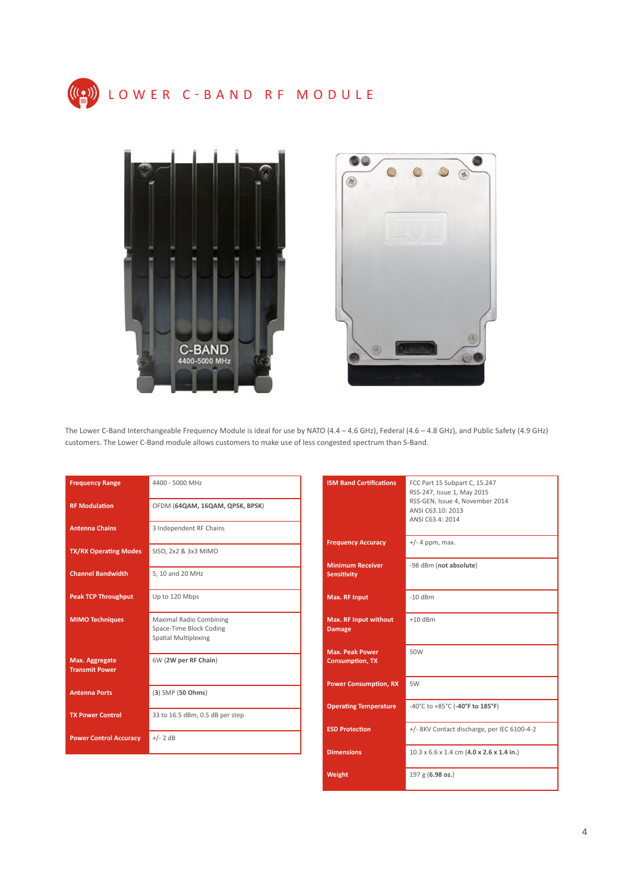





The Lower C-Band Interchangeable Frequency Module is ideal for use by NATO (4.4 – 4.6 GHz), Federal (4.6 – 4.8 GHz), and Public Safety (4.9 GHz) customers. The Lower C-Band module allows customers to make use of less congested spectrum than S-Band.

| <b>Frequency Range</b>                  | 4400 - 5000 MHz                                                                   |
|-----------------------------------------|-----------------------------------------------------------------------------------|
| <b>RF Modulation</b>                    | OFDM (64QAM, 16QAM, QPSK, BPSK)                                                   |
| <b>Antenna Chains</b>                   | 3 Independent RF Chains                                                           |
| <b>TX/RX Operating Modes</b>            | SISO, 2x2 & 3x3 MIMO                                                              |
| <b>Channel Bandwidth</b>                | 5, 10 and 20 MHz                                                                  |
| <b>Peak TCP Throughput</b>              | Up to 120 Mbps                                                                    |
| <b>MIMO Techniques</b>                  | Maximal Radio Combining<br>Space-Time Block Coding<br><b>Spatial Multiplexing</b> |
| Max. Aggregate<br><b>Transmit Power</b> | 6W (2W per RF Chain)                                                              |
| <b>Antenna Ports</b>                    | $(3)$ SMP $(50$ Ohms)                                                             |
| <b>TX Power Control</b>                 | 33 to 16.5 dBm, 0.5 dB per step                                                   |
| <b>Power Control Accuracy</b>           | $+/- 2$ dB                                                                        |

| <b>ISM Band Certifications</b>                   | FCC Part 15 Subpart C, 15.247<br>RSS-247, Issue 1, May 2015<br>RSS-GEN, Issue 4, November 2014<br>ANSI C63.10: 2013<br>ANSI C63.4: 2014 |
|--------------------------------------------------|-----------------------------------------------------------------------------------------------------------------------------------------|
| <b>Frequency Accuracy</b>                        | $+/-$ 4 ppm, max.                                                                                                                       |
| <b>Minimum Receiver</b><br><b>Sensitivity</b>    | -98 dBm (not absolute)                                                                                                                  |
| <b>Max. RF Input</b>                             | $-10$ dBm                                                                                                                               |
| <b>Max. RF Input without</b><br><b>Damage</b>    | $+10$ dBm                                                                                                                               |
| <b>Max. Peak Power</b><br><b>Consumption, TX</b> | 50W                                                                                                                                     |
| <b>Power Consumption, RX</b>                     | 5W                                                                                                                                      |
| <b>Operating Temperature</b>                     | -40°C to +85°C (-40°F to 185°F)                                                                                                         |
| <b>ESD Protection</b>                            | +/- 8KV Contact discharge, per IEC 6100-4-2                                                                                             |
| <b>Dimensions</b>                                | $10.3 \times 6.6 \times 1.4$ cm $(4.0 \times 2.6 \times 1.4$ in.)                                                                       |
| Weight                                           | 197 g (6.98 oz.)                                                                                                                        |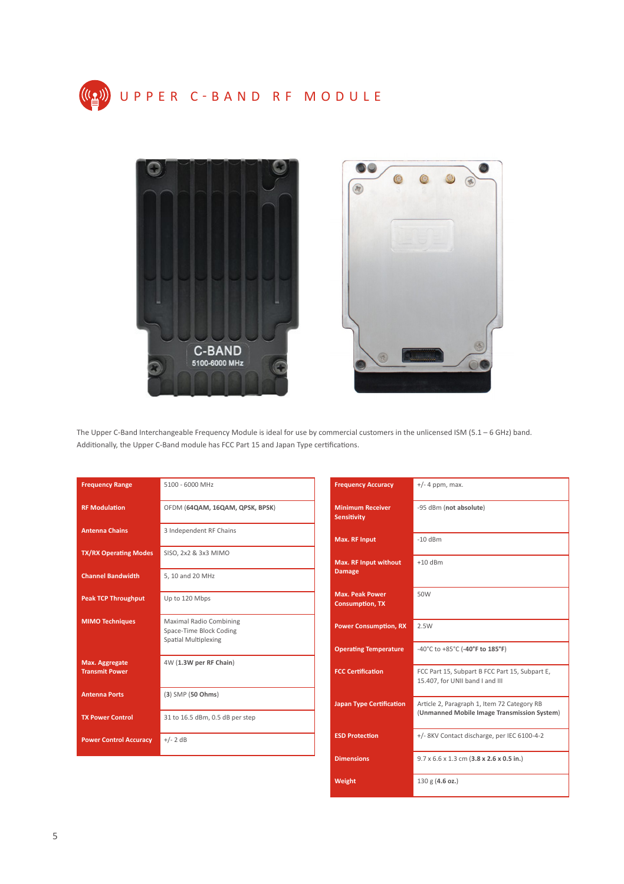



The Upper C-Band Interchangeable Frequency Module is ideal for use by commercial customers in the unlicensed ISM (5.1 – 6 GHz) band. Additionally, the Upper C-Band module has FCC Part 15 and Japan Type certifications.

| <b>Frequency Range</b>                  | 5100 - 6000 MHz                                                            |
|-----------------------------------------|----------------------------------------------------------------------------|
| <b>RF Modulation</b>                    | OFDM (64QAM, 16QAM, QPSK, BPSK)                                            |
| <b>Antenna Chains</b>                   | 3 Independent RF Chains                                                    |
| <b>TX/RX Operating Modes</b>            | SISO, 2x2 & 3x3 MIMO                                                       |
| <b>Channel Bandwidth</b>                | 5, 10 and 20 MHz                                                           |
| <b>Peak TCP Throughput</b>              | Up to 120 Mbps                                                             |
| <b>MIMO Techniques</b>                  | Maximal Radio Combining<br>Space-Time Block Coding<br>Spatial Multiplexing |
| Max. Aggregate<br><b>Transmit Power</b> | 4W (1.3W per RF Chain)                                                     |
| <b>Antenna Ports</b>                    | (3) SMP (50 Ohms)                                                          |
| <b>TX Power Control</b>                 | 31 to 16.5 dBm, 0.5 dB per step                                            |
| <b>Power Control Accuracy</b>           | $+/- 2$ dB                                                                 |

| <b>Frequency Accuracy</b>                        | $+/-$ 4 ppm, max.                                                                          |
|--------------------------------------------------|--------------------------------------------------------------------------------------------|
| <b>Minimum Receiver</b><br><b>Sensitivity</b>    | -95 dBm (not absolute)                                                                     |
| <b>Max. RF Input</b>                             | $-10$ dBm                                                                                  |
| <b>Max. RF Input without</b><br><b>Damage</b>    | $+10$ dBm                                                                                  |
| <b>Max. Peak Power</b><br><b>Consumption, TX</b> | 50W                                                                                        |
| <b>Power Consumption, RX</b>                     | 2.5W                                                                                       |
| <b>Operating Temperature</b>                     | -40°C to +85°C (-40°F to $185°F$ )                                                         |
| <b>FCC Certification</b>                         | FCC Part 15, Subpart B FCC Part 15, Subpart E,<br>15.407, for UNII band I and III          |
| <b>Japan Type Certification</b>                  | Article 2, Paragraph 1, Item 72 Category RB<br>(Unmanned Mobile Image Transmission System) |
| <b>ESD Protection</b>                            | +/- 8KV Contact discharge, per IEC 6100-4-2                                                |
| <b>Dimensions</b>                                | $9.7 \times 6.6 \times 1.3$ cm $(3.8 \times 2.6 \times 0.5$ in.)                           |
| Weight                                           | 130 g (4.6 oz.)                                                                            |